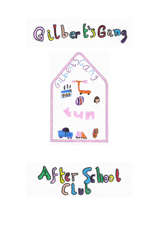



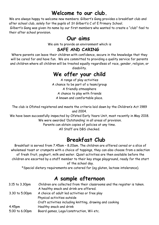### **Welcome to our club.**

We are always happy to welcome new members. Gilbert's Gang provides a breakfast club and after school club, solely for the pupils of St Gilbert's C of E Primary School.

Gilbert's Gang was given its name by our first members who wanted to create a "club" feel to their after school provision.

### **Our aims**

We aim to provide an environment which is

#### **SAFE AND CARING**

Where parents can leave their children with confidence, secure in the knowledge that they will be cared for and have fun. We are committed to providing a quality service for parents and children where all children will be treated equally regardless of race, gender, religion, or disability.

# **We offer your child**

A range of play activities A chance to be part of a team/group A friendly atmosphere A chance to play with friends A known and comfortable place.

The club is Ofsted registered and meets the criteria laid down by the Children's Act 1989 and 2004.

We have been successfully inspected by Ofsted Early Years Unit, most recently in May 2018. We were awarded 'Outstanding' in all areas of provision.

Parents can obtain copies of policies at any time.

All Staff are DBS checked.

# **Breakfast Club**

Breakfast is served from 7.45am – 8.20am. The children are offered cereal or a slice of wholemeal toast or crumpets with a choice of toppings, they can also choose from a selection of fresh fruit, yoghurt, milk and water. Quiet activities are then available before the children are escorted by a staff member to their key stage playground, ready for the start of the school day.

\*Special dietary requirements are catered for (eg gluten, lactose intolerance).

# **A sample afternoon**

| 3.15 to 3.30pm     | Children are collected from their classrooms and the register is taken. |
|--------------------|-------------------------------------------------------------------------|
|                    | A healthy snack and drink are offered.                                  |
| 3.30 to 5.00pm     | A choice of adult led activities or free play                           |
|                    | Physical activities outside                                             |
|                    | Craft activities including knitting, drawing and cooking                |
| 4.45 <sub>pm</sub> | Healthy snack and drink                                                 |
| 5.00 to 6.00pm     | Board games, Lego/construction, Wii etc.                                |
|                    |                                                                         |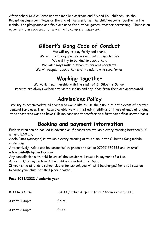After school KS2 children use the mobile classroom and FS and KS1 children use the Reception classroom. Towards the end of the session all the children come together in the mobile. The playground and field are used for outdoor games, weather permitting. There is an opportunity in each area for any child to complete homework.

### **Gilbert's Gang Code of Conduct**

We will try to play fairly and share. We will try to enjoy ourselves without too much noise We will try to be kind to each other. We will always walk in school to prevent accidents.

We will respect each other and the adults who care for us.

# **Working together**

We work in partnership with the staff of St Gilbert's School. Parents are always welcome to visit our club and any ideas from them are appreciated.

### **Admissions Policy**

We try to accommodate all those who would like to use the club, but in the event of greater demand for places than those available we will first admit siblings of those already attending, then those who want to have fulltime care and thereafter on a first come first served basis.

### **Booking and payment information**

Each session can be booked in advance or if spaces are available every morning between 8.40 am and 8.50 am.

Adele Pinto (Manager) is available every morning at this time in the Gilbert's Gang mobile classroom.

Alternatively, Adele can be contacted by phone or text on 07957 780222 and by email **adele.pinto@stgilberts.co.uk**

Any cancellation within 48 hours of the session will result in payment of a fee.

A fee of £15 may be levied if a child is collected after 6pm.

If your child attends a school club after school, you will still be charged for a full session because your child has that place booked.

#### **Fees 2021/2022 Academic year**

| 8.00 to 8.40am | £4.00 (Earlier drop off from 7.45am extra £2.00) |
|----------------|--------------------------------------------------|
| 3.15 to 4.30pm | £5.50                                            |
| 3.15 to 6.00pm | £8.00                                            |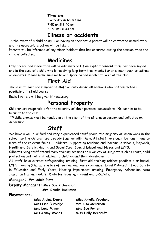**Times are:** Every day in term time 7.45 until 8.40 am 3.15 until 6.00 pm

### **Illness or accidents**

In the event of a child being ill or having an accident, a parent will be contacted immediately and the appropriate action will be taken.

Parents will be informed of any minor incident that has occurred during the session when the child is collected.

### **Medicines**

Only prescribed medication will be administered if an explicit consent form has been signed and in the case of a child who is receiving long term treatments for an ailment such as asthma or diabetes. Please make sure we have a spare named inhaler to keep at the club.

# **First Aid**

There is at least one member of staff on duty during all sessions who has completed a paediatric first aid course.

Basic first aid will be given if necessary.

### **Personal Property**

Children are responsible for the security of their personal possessions. No cash is to be brought to the club.

\*Mobile phones must be handed in at the start of the afternoon session and collected on departure.

# **Staff**

We have a well-qualified and very experienced staff group, the majority of whom work in the school, so the children are already familiar with them. All staff have qualifications in one or more of the relevant fields – Childcare, Supporting teaching and learning in schools, Playwork, Health and Safety, Health and Social Care, Special Educational Needs and EYFS. Gilbert's Gang staff attend many training sessions on a variety of subjects such as craft, child

protection and matters relating to children and their development.

All staff have current safeguarding training, first aid training (either paediatric or basic), EYFS training (Characteristics of learning and key experience), Level 2 Award in Food Safety in Education and Early Years, Hearing impairment training, Emergency Adrenaline Auto Injection training (AAI's), Diabetes training, Prevent and E-Safety.

**Manager: Mrs Adele Pinto.**

**Deputy Managers: Miss Sue Richardson.**

 **Mrs Claudia Dickinson.**

**Playworkers:** 

| Miss Alaina Denne.  | Miss Amelia Copeland. |
|---------------------|-----------------------|
| Miss Lisa Burbidge. | Mrs Lisa Merriman.    |
| Mrs Lena Milner.    | Mrs Sue Porter.       |
| Mrs Jenny Woods.    | Miss Holly Beecroft.  |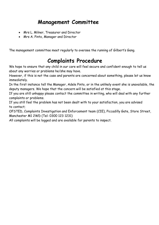### **Management Committee**

- Mrs L. Milner, Treasurer and Director
- Mrs A. Pinto, Manager and Director

The management committee meet regularly to oversee the running of Gilbert's Gang.

### **Complaints Procedure**

We hope to ensure that any child in our care will feel secure and confident enough to tell us about any worries or problems he/she may have.

However, if this is not the case and parents are concerned about something, please let us know immediately.

In the first instance tell the Manager, Adele Pinto, or in the unlikely event she is unavailable, the deputy managers. We hope that the concern will be satisfied at this stage.

If you are still unhappy please contact the committee in writing, who will deal with any further complaints or problems.

If you still feel the problem has not been dealt with to your satisfaction, you are advised to contact;

OFSTED, Complaints Investigation and Enforcement team (CIE), Piccadilly Gate, Store Street, Manchester M1 2WD (Tel: 0300 123 1231)

All complaints will be logged and are available for parents to inspect.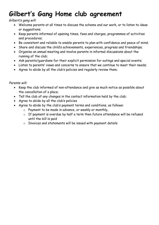# **Gilbert's Gang Home club agreement**

*Gilbert's gang will:*

- Welcome parents at all times to discuss the scheme and our work, or to listen to ideas or suggestions;
- Keep parents informed of opening times, fees and charges, programmes of activities and procedures;
- Be consistent and reliable to enable parents to plan with confidence and peace of mind;
- Share and discuss the child's achievements, experiences, progress and friendships;
- Organise an annual meeting and involve parents in informal discussions about the running of the club;
- Ask parents/guardians for their explicit permission for outings and special events;
- Listen to parents' views and concerns to ensure that we continue to meet their needs;
- Agree to abide by all the club's policies and regularly review them;

*Parents will:*

- Keep the club informed of non-attendance and give as much notice as possible about the cancellation of a place;
- Tell the club of any changes in the contact information held by the club;
- Agree to abide by all the club's policies
- Agree to abide by the club's payment terms and conditions, as follows:
	- o Payment to be made in advance, or weekly or monthly,
	- $\circ$  If payment is overdue by half a term then future attendance will be refused until the bill is paid
	- o Invoices and statements will be issued with payment details